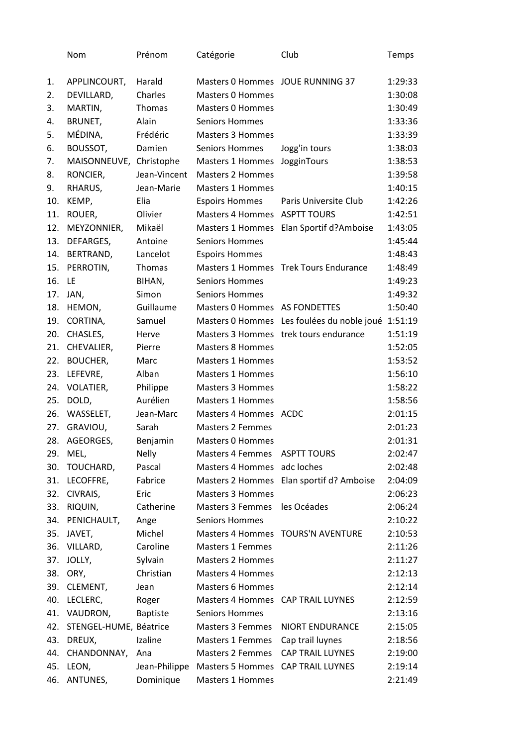|     | Nom                     | Prénom          | Catégorie                         | Club                                               | Temps   |
|-----|-------------------------|-----------------|-----------------------------------|----------------------------------------------------|---------|
| 1.  | APPLINCOURT,            | Harald          | Masters 0 Hommes JOUE RUNNING 37  |                                                    | 1:29:33 |
| 2.  | DEVILLARD,              | Charles         | <b>Masters 0 Hommes</b>           |                                                    | 1:30:08 |
| 3.  | MARTIN,                 | <b>Thomas</b>   | <b>Masters 0 Hommes</b>           |                                                    | 1:30:49 |
| 4.  | BRUNET,                 | Alain           | <b>Seniors Hommes</b>             |                                                    | 1:33:36 |
| 5.  | MÉDINA,                 | Frédéric        | <b>Masters 3 Hommes</b>           |                                                    | 1:33:39 |
| 6.  | BOUSSOT,                | Damien          | <b>Seniors Hommes</b>             | Jogg'in tours                                      | 1:38:03 |
| 7.  | MAISONNEUVE, Christophe |                 | <b>Masters 1 Hommes</b>           | JogginTours                                        | 1:38:53 |
| 8.  | RONCIER,                | Jean-Vincent    | <b>Masters 2 Hommes</b>           |                                                    | 1:39:58 |
| 9.  | RHARUS,                 | Jean-Marie      | <b>Masters 1 Hommes</b>           |                                                    | 1:40:15 |
| 10. | KEMP,                   | Elia            | <b>Espoirs Hommes</b>             | Paris Universite Club                              | 1:42:26 |
| 11. | ROUER,                  | Olivier         | Masters 4 Hommes ASPTT TOURS      |                                                    | 1:42:51 |
| 12. | MEYZONNIER,             | Mikaël          |                                   | Masters 1 Hommes Elan Sportif d?Amboise            | 1:43:05 |
| 13. | DEFARGES,               | Antoine         | <b>Seniors Hommes</b>             |                                                    | 1:45:44 |
| 14. | BERTRAND,               | Lancelot        | <b>Espoirs Hommes</b>             |                                                    | 1:48:43 |
| 15. | PERROTIN,               | Thomas          | Masters 1 Hommes                  | <b>Trek Tours Endurance</b>                        | 1:48:49 |
| 16. | LE                      | BIHAN,          | <b>Seniors Hommes</b>             |                                                    | 1:49:23 |
| 17. | JAN,                    | Simon           | <b>Seniors Hommes</b>             |                                                    | 1:49:32 |
| 18. | HEMON,                  | Guillaume       | Masters 0 Hommes AS FONDETTES     |                                                    | 1:50:40 |
| 19. | CORTINA,                | Samuel          |                                   | Masters 0 Hommes Les foulées du noble joué 1:51:19 |         |
| 20. | CHASLES,                | Herve           |                                   | Masters 3 Hommes trek tours endurance              | 1:51:19 |
| 21. | CHEVALIER,              | Pierre          | <b>Masters 8 Hommes</b>           |                                                    | 1:52:05 |
| 22. | <b>BOUCHER,</b>         | Marc            | <b>Masters 1 Hommes</b>           |                                                    | 1:53:52 |
| 23. | LEFEVRE,                | Alban           | <b>Masters 1 Hommes</b>           |                                                    | 1:56:10 |
| 24. | VOLATIER,               | Philippe        | <b>Masters 3 Hommes</b>           |                                                    | 1:58:22 |
| 25. | DOLD,                   | Aurélien        | <b>Masters 1 Hommes</b>           |                                                    | 1:58:56 |
| 26. | WASSELET,               | Jean-Marc       | Masters 4 Hommes ACDC             |                                                    | 2:01:15 |
| 27. | GRAVIOU,                | Sarah           | <b>Masters 2 Femmes</b>           |                                                    | 2:01:23 |
| 28. | AGEORGES,               | Benjamin        | <b>Masters 0 Hommes</b>           |                                                    | 2:01:31 |
| 29. | MEL,                    | <b>Nelly</b>    | <b>Masters 4 Femmes</b>           | <b>ASPTT TOURS</b>                                 | 2:02:47 |
| 30. | TOUCHARD,               | Pascal          | Masters 4 Hommes adc loches       |                                                    | 2:02:48 |
| 31. | LECOFFRE,               | Fabrice         | Masters 2 Hommes                  | Elan sportif d? Amboise                            | 2:04:09 |
| 32. | CIVRAIS,                | Eric            | <b>Masters 3 Hommes</b>           |                                                    | 2:06:23 |
| 33. | RIQUIN,                 | Catherine       | <b>Masters 3 Femmes</b>           | les Océades                                        | 2:06:24 |
| 34. | PENICHAULT,             | Ange            | <b>Seniors Hommes</b>             |                                                    | 2:10:22 |
| 35. | JAVET,                  | Michel          |                                   | Masters 4 Hommes TOURS'N AVENTURE                  | 2:10:53 |
| 36. | VILLARD,                | Caroline        | <b>Masters 1 Femmes</b>           |                                                    | 2:11:26 |
| 37. | JOLLY,                  | Sylvain         | <b>Masters 2 Hommes</b>           |                                                    | 2:11:27 |
| 38. | ORY,                    | Christian       | <b>Masters 4 Hommes</b>           |                                                    | 2:12:13 |
| 39. | CLEMENT,                | Jean            | <b>Masters 6 Hommes</b>           |                                                    | 2:12:14 |
| 40. | LECLERC,                | Roger           | Masters 4 Hommes CAP TRAIL LUYNES |                                                    | 2:12:59 |
| 41. | VAUDRON,                | <b>Baptiste</b> | <b>Seniors Hommes</b>             |                                                    | 2:13:16 |
| 42. | STENGEL-HUME, Béatrice  |                 | <b>Masters 3 Femmes</b>           | NIORT ENDURANCE                                    | 2:15:05 |
| 43. | DREUX,                  | Izaline         | Masters 1 Femmes                  | Cap trail luynes                                   | 2:18:56 |
| 44. | CHANDONNAY,             | Ana             | <b>Masters 2 Femmes</b>           | <b>CAP TRAIL LUYNES</b>                            | 2:19:00 |
| 45. | LEON,                   | Jean-Philippe   | <b>Masters 5 Hommes</b>           | <b>CAP TRAIL LUYNES</b>                            | 2:19:14 |
| 46. | ANTUNES,                | Dominique       | Masters 1 Hommes                  |                                                    | 2:21:49 |